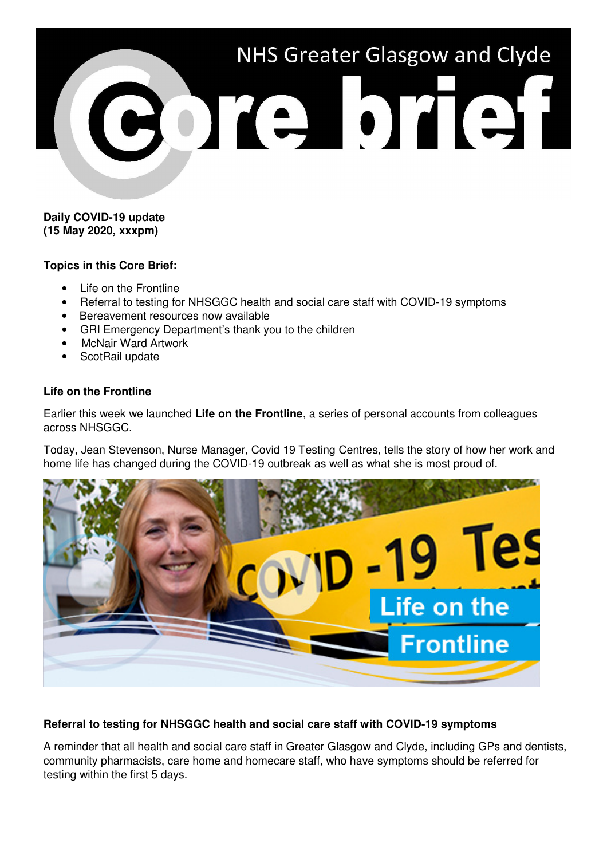

### **Daily COVID-19 update (15 May 2020, xxxpm)**

## **Topics in this Core Brief:**

- Life on the Frontline
- Referral to testing for NHSGGC health and social care staff with COVID-19 symptoms
- Bereavement resources now available
- GRI Emergency Department's thank you to the children
- McNair Ward Artwork
- ScotRail update

## **Life on the Frontline**

Earlier this week we launched **Life on the Frontline**, a series of personal accounts from colleagues across NHSGGC.

Today, Jean Stevenson, Nurse Manager, Covid 19 Testing Centres, tells the story of how her work and home life has changed during the COVID-19 outbreak as well as what she is most proud of.



# **Referral to testing for NHSGGC health and social care staff with COVID-19 symptoms**

A reminder that all health and social care staff in Greater Glasgow and Clyde, including GPs and dentists, community pharmacists, care home and homecare staff, who have symptoms should be referred for testing within the first 5 days.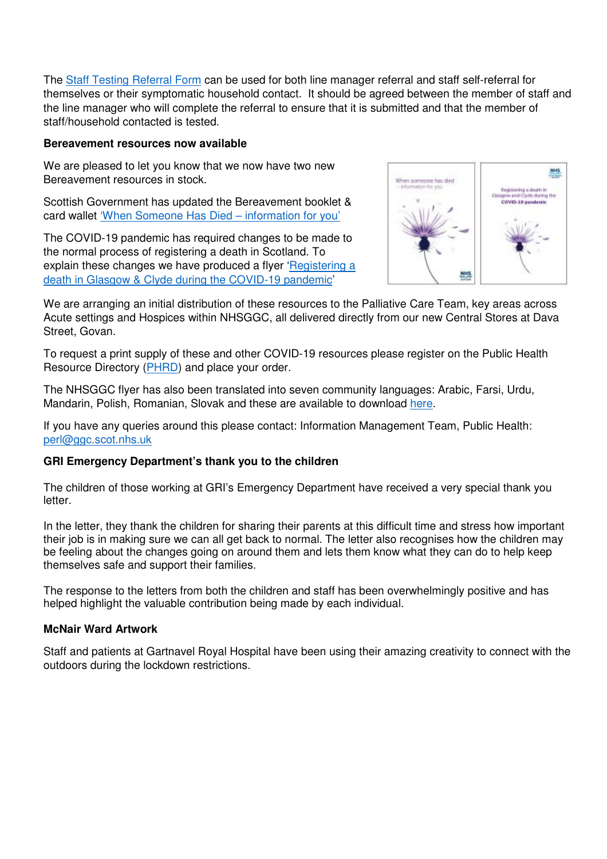The Staff Testing Referral Form can be used for both line manager referral and staff self-referral for themselves or their symptomatic household contact. It should be agreed between the member of staff and the line manager who will complete the referral to ensure that it is submitted and that the member of staff/household contacted is tested.

#### **Bereavement resources now available**

We are pleased to let you know that we now have two new Bereavement resources in stock.

Scottish Government has updated the Bereavement booklet & card wallet 'When Someone Has Died – information for you'

The COVID-19 pandemic has required changes to be made to the normal process of registering a death in Scotland. To explain these changes we have produced a flyer 'Registering a death in Glasgow & Clyde during the COVID-19 pandemic'



We are arranging an initial distribution of these resources to the Palliative Care Team, key areas across Acute settings and Hospices within NHSGGC, all delivered directly from our new Central Stores at Dava Street, Govan.

To request a print supply of these and other COVID-19 resources please register on the Public Health Resource Directory (PHRD) and place your order.

The NHSGGC flyer has also been translated into seven community languages: Arabic, Farsi, Urdu, Mandarin, Polish, Romanian, Slovak and these are available to download here.

If you have any queries around this please contact: Information Management Team, Public Health: perl@ggc.scot.nhs.uk

# **GRI Emergency Department's thank you to the children**

The children of those working at GRI's Emergency Department have received a very special thank you letter.

In the letter, they thank the children for sharing their parents at this difficult time and stress how important their job is in making sure we can all get back to normal. The letter also recognises how the children may be feeling about the changes going on around them and lets them know what they can do to help keep themselves safe and support their families.

The response to the letters from both the children and staff has been overwhelmingly positive and has helped highlight the valuable contribution being made by each individual.

# **McNair Ward Artwork**

Staff and patients at Gartnavel Royal Hospital have been using their amazing creativity to connect with the outdoors during the lockdown restrictions.